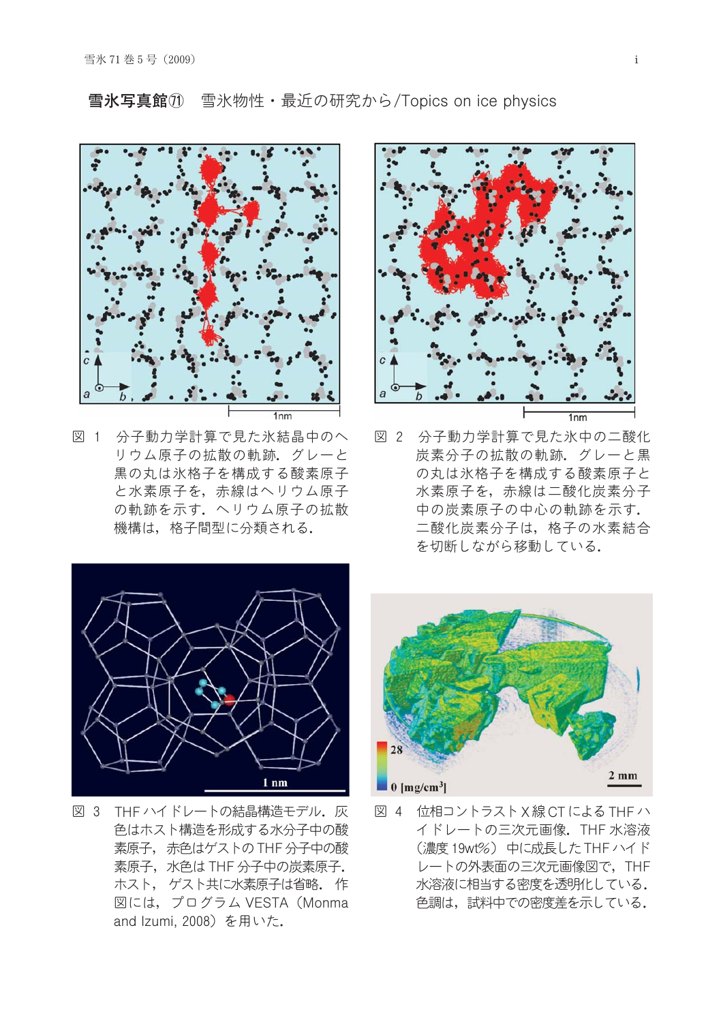

図 1 分子動力学計算で見た氷結晶中のへ リウム原子の拡散の軌跡。グレーと 黒の丸は氷格子を構成する酸素原子 と水素原子を、赤線はヘリウム原子 の軌跡を示す. ヘリウム原子の拡散 機構は、格子間型に分類される.



図 2 分子動力学計算で見た氷中の二酸化 炭素分子の拡散の軌跡。グレーと黒 の丸は氷格子を構成する酸素原子と 水素原子を、赤線は二酸化炭素分子 中の炭素原子の中心の軌跡を示す. 二酸化炭素分子は、格子の水素結合 を切断しながら移動している.



図 3 THF ハイドレートの結晶構造モデル. 灰 色はホスト構造を形成する水分子中の酸 素原子, 赤色はゲストのTHF分子中の酸 素原子, 水色は THF 分子中の炭素原子. ホスト、ゲスト共に水素原子は省略。作 図には、プログラム VESTA (Monma and Izumi, 2008) を用いた.



図 4 位相コントラスト X線 CT による THF ハ イドレートの三次元画像. THF 水溶液 (濃度19wt%) 中に成長した THF ハイド レートの外表面の三次元画像図で、THF 水溶液に相当する密度を透明化している。 色調は、試料中での密度差を示している.

## 雪氷写真館① 雪氷物性・最近の研究から/Topics on ice physics